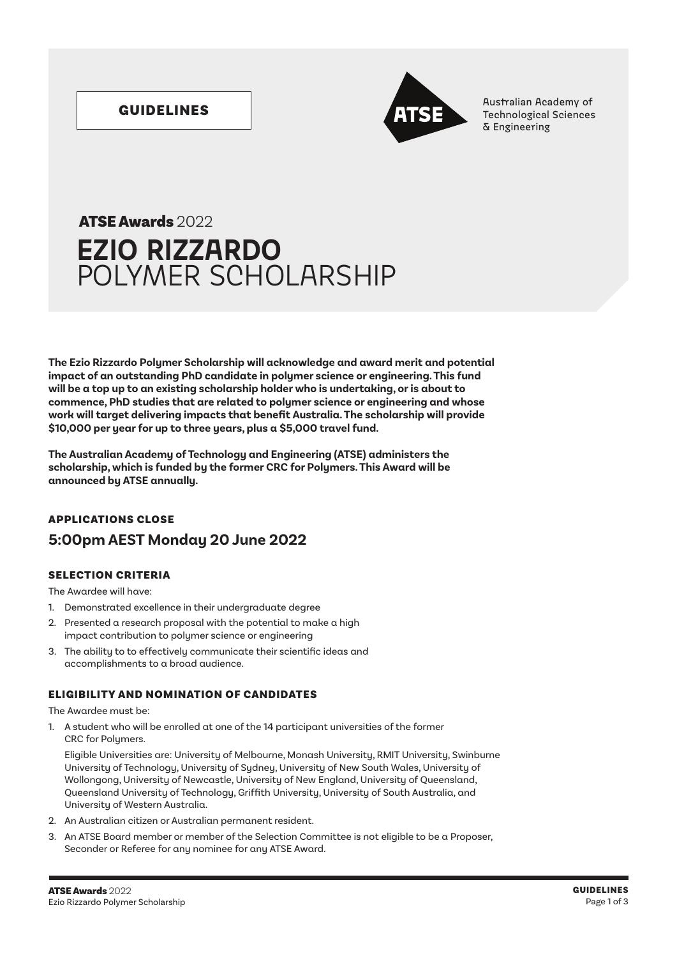

GUIDELINES **Australian Academy of Australian Academy of Australian Academy of Australian Academy of Australian Academy of Australian Academy of Technological Sciences** & Engineering

# **EZIO RIZZARDO** POLYMER SCHOLARSHIP ATSE Awards 2022

**The Ezio Rizzardo Polymer Scholarship will acknowledge and award merit and potential impact of an outstanding PhD candidate in polymer science or engineering. This fund will be a top up to an existing scholarship holder who is undertaking, or is about to commence, PhD studies that are related to polymer science or engineering and whose work will target delivering impacts that benefit Australia. The scholarship will provide \$10,000 per year for up to three years, plus a \$5,000 travel fund.**

**The Australian Academy of Technology and Engineering (ATSE) administers the scholarship, which is funded by the former CRC for Polymers. This Award will be announced by ATSE annually.**

# APPLICATIONS CLOSE **5:00pm AEST Monday 20 June 2022**

# SELECTION CRITERIA

The Awardee will have:

- 1. Demonstrated excellence in their undergraduate degree
- 2. Presented a research proposal with the potential to make a high impact contribution to polymer science or engineering
- 3. The ability to to effectively communicate their scientific ideas and accomplishments to a broad audience.

# ELIGIBILITY AND NOMINATION OF CANDIDATES

The Awardee must be:

1. A student who will be enrolled at one of the 14 participant universities of the former CRC for Polymers.

Eligible Universities are: University of Melbourne, Monash University, RMIT University, Swinburne University of Technology, University of Sydney, University of New South Wales, University of Wollongong, University of Newcastle, University of New England, University of Queensland, Queensland University of Technology, Griffith University, University of South Australia, and University of Western Australia.

- 2. An Australian citizen or Australian permanent resident.
- 3. An ATSE Board member or member of the Selection Committee is not eligible to be a Proposer, Seconder or Referee for any nominee for any ATSE Award.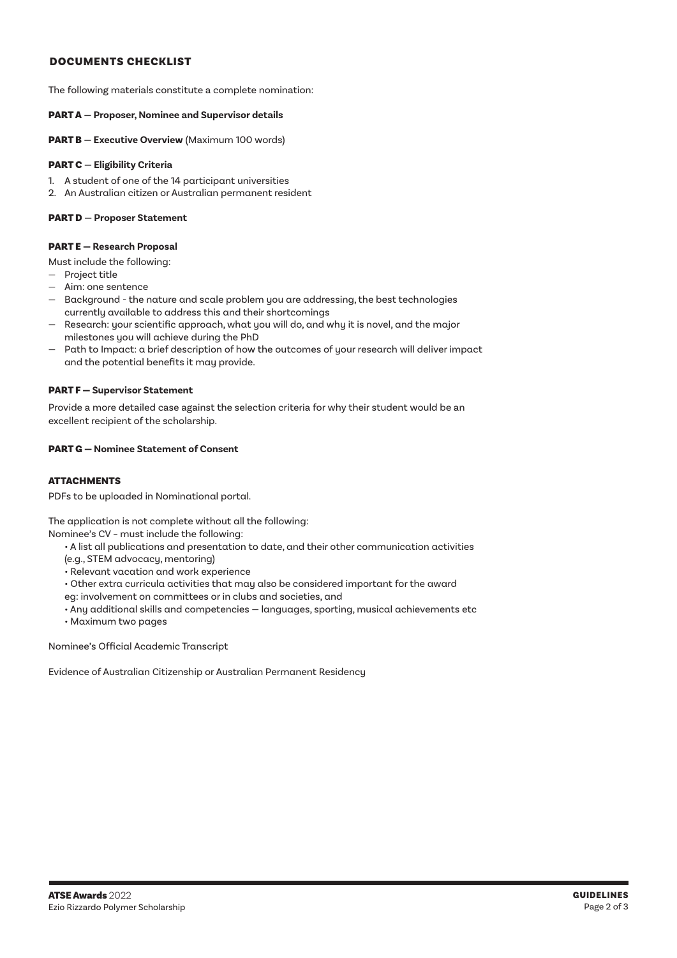### DOCUMENTS CHECKLIST

The following materials constitute a complete nomination:

#### PART A **— Proposer, Nominee and Supervisor details**

PART B **— Executive Overview** (Maximum 100 words)

#### PART C **— Eligibility Criteria**

- 1. A student of one of the 14 participant universities
- 2. An Australian citizen or Australian permanent resident

#### PART D **— Proposer Statement**

#### PART E — **Research Proposal**

Must include the following:

- Project title
- Aim: one sentence
- Background the nature and scale problem you are addressing, the best technologies currently available to address this and their shortcomings
- Research: your scientific approach, what you will do, and why it is novel, and the major milestones you will achieve during the PhD
- Path to Impact: a brief description of how the outcomes of your research will deliver impact and the potential benefits it may provide.

#### PART F — **Supervisor Statement**

Provide a more detailed case against the selection criteria for why their student would be an excellent recipient of the scholarship.

#### PART G — **Nominee Statement of Consent**

### ATTACHMENTS

PDFs to be uploaded in Nominational portal.

The application is not complete without all the following:

Nominee's CV – must include the following:

- A list all publications and presentation to date, and their other communication activities
- (e.g., STEM advocacy, mentoring)
- Relevant vacation and work experience
- Other extra curricula activities that may also be considered important for the award
- eg: involvement on committees or in clubs and societies, and
- Any additional skills and competencies languages, sporting, musical achievements etc
- Maximum two pages

Nominee's Official Academic Transcript

Evidence of Australian Citizenship or Australian Permanent Residency